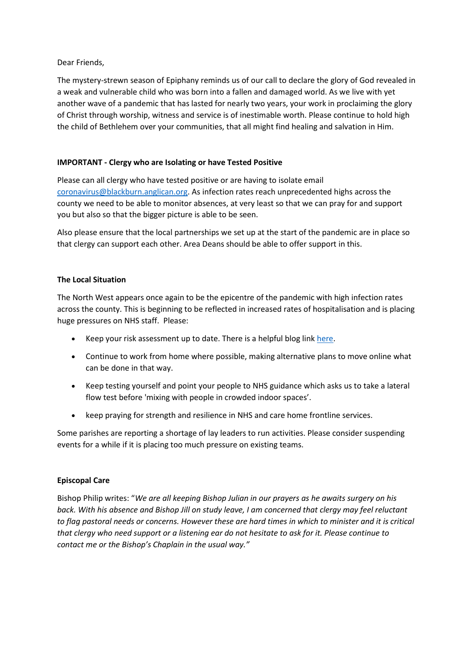# Dear Friends,

The mystery-strewn season of Epiphany reminds us of our call to declare the glory of God revealed in a weak and vulnerable child who was born into a fallen and damaged world. As we live with yet another wave of a pandemic that has lasted for nearly two years, your work in proclaiming the glory of Christ through worship, witness and service is of inestimable worth. Please continue to hold high the child of Bethlehem over your communities, that all might find healing and salvation in Him.

# **IMPORTANT - Clergy who are Isolating or have Tested Positive**

Please can all clergy who have tested positive or are having to isolate email [coronavirus@blackburn.anglican.org.](mailto:coronavirus@blackburn.anglican.org) As infection rates reach unprecedented highs across the county we need to be able to monitor absences, at very least so that we can pray for and support you but also so that the bigger picture is able to be seen.

Also please ensure that the local partnerships we set up at the start of the pandemic are in place so that clergy can support each other. Area Deans should be able to offer support in this.

# **The Local Situation**

The North West appears once again to be the epicentre of the pandemic with high infection rates across the county. This is beginning to be reflected in increased rates of hospitalisation and is placing huge pressures on NHS staff. Please:

- Keep your risk assessment up to date. There is a helpful blog link [here.](https://faithroot.com/2022/01/05/covid-update-for-church-risk-management-05-01-2022/?fbclid=IwAR1vYF5rNrqhvOk6I7Z98xIJZZZCiJ5sZUlXjJjDWIgJGppYheJy_W0RVbs)
- Continue to work from home where possible, making alternative plans to move online what can be done in that way.
- Keep testing yourself and point your people to NHS guidance which asks us to take a lateral flow test before 'mixing with people in crowded indoor spaces'.
- keep praying for strength and resilience in NHS and care home frontline services.

Some parishes are reporting a shortage of lay leaders to run activities. Please consider suspending events for a while if it is placing too much pressure on existing teams.

#### **Episcopal Care**

Bishop Philip writes: "*We are all keeping Bishop Julian in our prayers as he awaits surgery on his back. With his absence and Bishop Jill on study leave, I am concerned that clergy may feel reluctant to flag pastoral needs or concerns. However these are hard times in which to minister and it is critical that clergy who need support or a listening ear do not hesitate to ask for it. Please continue to contact me or the Bishop's Chaplain in the usual way."*